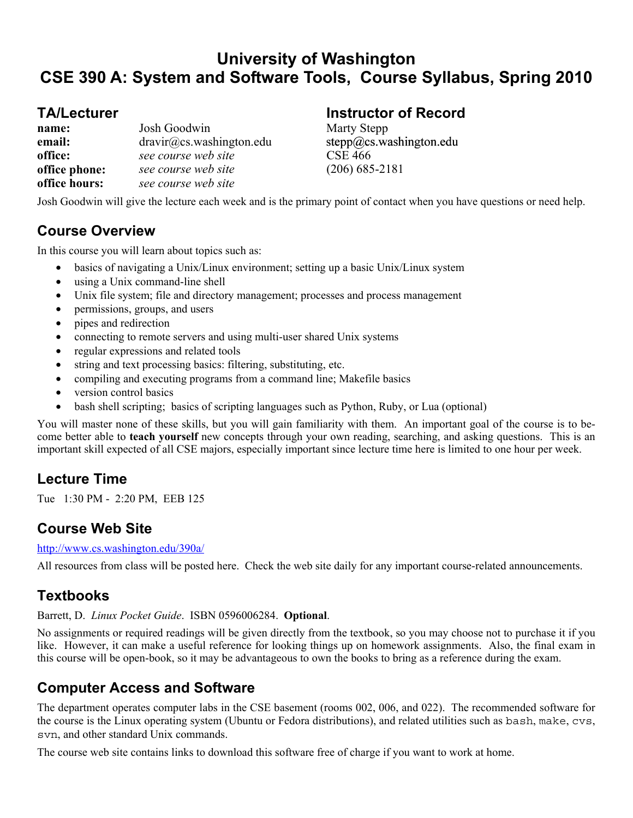# **University of Washington CSE 390 A: System and Software Tools, Course Syllabus, Spring 2010**

| name:         | Josh Goodwin             |
|---------------|--------------------------|
| email:        | dravir@cs.washington.edu |
| office:       | see course web site      |
| office phone: | see course web site      |
| office hours: | see course web site      |

# **TA/Lecturer Instructor of Record instructor of Record instructor of Record instructor of Record in Talma**

**Marty Stepp** stepp@cs.washington.edu **office:** *see course web site* CSE 466 **office phone:** *see course web site* (206) 685-2181

Josh Goodwin will give the lecture each week and is the primary point of contact when you have questions or need help.

# **Course Overview**

In this course you will learn about topics such as:

- basics of navigating a Unix/Linux environment; setting up a basic Unix/Linux system
- using a Unix command-line shell
- Unix file system; file and directory management; processes and process management
- permissions, groups, and users
- pipes and redirection
- connecting to remote servers and using multi-user shared Unix systems
- regular expressions and related tools
- string and text processing basics: filtering, substituting, etc.
- compiling and executing programs from a command line; Makefile basics
- version control basics
- bash shell scripting; basics of scripting languages such as Python, Ruby, or Lua (optional)

You will master none of these skills, but you will gain familiarity with them. An important goal of the course is to become better able to **teach yourself** new concepts through your own reading, searching, and asking questions. This is an important skill expected of all CSE majors, especially important since lecture time here is limited to one hour per week.

# **Lecture Time**

Tue 1:30 PM - 2:20 PM, EEB 125

### **Course Web Site**

http://www.cs.washington.edu/390a/

All resources from class will be posted here. Check the web site daily for any important course-related announcements.

# **Textbooks**

### Barrett, D. *Linux Pocket Guide*. ISBN 0596006284. **Optional**.

No assignments or required readings will be given directly from the textbook, so you may choose not to purchase it if you like. However, it can make a useful reference for looking things up on homework assignments. Also, the final exam in this course will be open-book, so it may be advantageous to own the books to bring as a reference during the exam.

# **Computer Access and Software**

The department operates computer labs in the CSE basement (rooms 002, 006, and 022). The recommended software for the course is the Linux operating system (Ubuntu or Fedora distributions), and related utilities such as bash, make, cvs, svn, and other standard Unix commands.

The course web site contains links to download this software free of charge if you want to work at home.